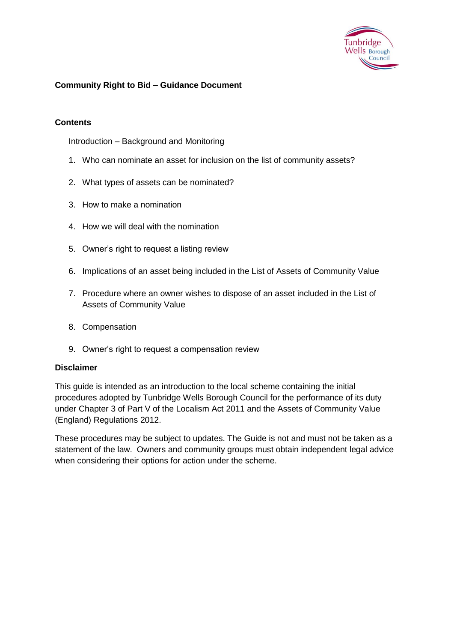

# **Community Right to Bid – Guidance Document**

# **Contents**

Introduction – Background and Monitoring

- 1. Who can nominate an asset for inclusion on the list of community assets?
- 2. What types of assets can be nominated?
- 3. How to make a nomination
- 4. How we will deal with the nomination
- 5. Owner's right to request a listing review
- 6. Implications of an asset being included in the List of Assets of Community Value
- 7. Procedure where an owner wishes to dispose of an asset included in the List of Assets of Community Value
- 8. Compensation
- 9. Owner's right to request a compensation review

#### **Disclaimer**

This guide is intended as an introduction to the local scheme containing the initial procedures adopted by Tunbridge Wells Borough Council for the performance of its duty under Chapter 3 of Part V of the Localism Act 2011 and the Assets of Community Value (England) Regulations 2012.

These procedures may be subject to updates. The Guide is not and must not be taken as a statement of the law. Owners and community groups must obtain independent legal advice when considering their options for action under the scheme.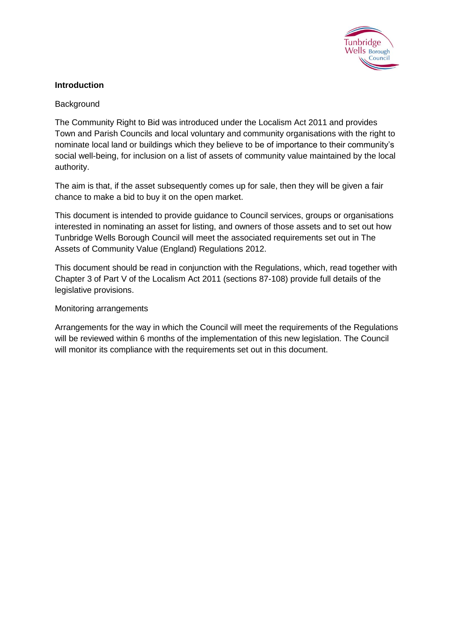

# **Introduction**

# Background

The Community Right to Bid was introduced under the Localism Act 2011 and provides Town and Parish Councils and local voluntary and community organisations with the right to nominate local land or buildings which they believe to be of importance to their community's social well-being, for inclusion on a list of assets of community value maintained by the local authority.

The aim is that, if the asset subsequently comes up for sale, then they will be given a fair chance to make a bid to buy it on the open market.

This document is intended to provide guidance to Council services, groups or organisations interested in nominating an asset for listing, and owners of those assets and to set out how Tunbridge Wells Borough Council will meet the associated requirements set out in The Assets of Community Value (England) Regulations 2012.

This document should be read in conjunction with the Regulations, which, read together with Chapter 3 of Part V of the Localism Act 2011 (sections 87-108) provide full details of the legislative provisions.

#### Monitoring arrangements

Arrangements for the way in which the Council will meet the requirements of the Regulations will be reviewed within 6 months of the implementation of this new legislation. The Council will monitor its compliance with the requirements set out in this document.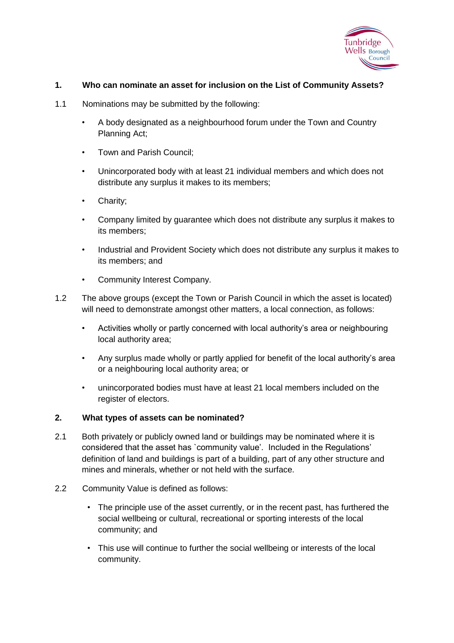

# **1. Who can nominate an asset for inclusion on the List of Community Assets?**

- 1.1 Nominations may be submitted by the following:
	- A body designated as a neighbourhood forum under the Town and Country Planning Act;
	- Town and Parish Council;
	- Unincorporated body with at least 21 individual members and which does not distribute any surplus it makes to its members;
	- Charity;
	- Company limited by guarantee which does not distribute any surplus it makes to its members;
	- Industrial and Provident Society which does not distribute any surplus it makes to its members; and
	- Community Interest Company.
- 1.2 The above groups (except the Town or Parish Council in which the asset is located) will need to demonstrate amongst other matters, a local connection, as follows:
	- Activities wholly or partly concerned with local authority's area or neighbouring local authority area;
	- Any surplus made wholly or partly applied for benefit of the local authority's area or a neighbouring local authority area; or
	- unincorporated bodies must have at least 21 local members included on the register of electors.

# **2. What types of assets can be nominated?**

- 2.1 Both privately or publicly owned land or buildings may be nominated where it is considered that the asset has `community value'. Included in the Regulations' definition of land and buildings is part of a building, part of any other structure and mines and minerals, whether or not held with the surface.
- 2.2 Community Value is defined as follows:
	- The principle use of the asset currently, or in the recent past, has furthered the social wellbeing or cultural, recreational or sporting interests of the local community; and
	- This use will continue to further the social wellbeing or interests of the local community.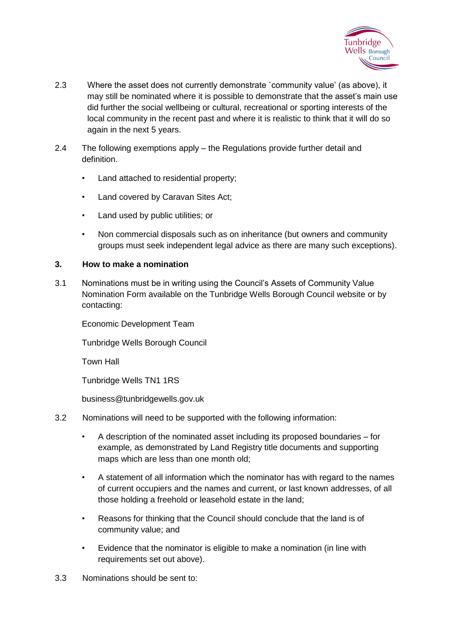

- 2.3 Where the asset does not currently demonstrate `community value' (as above), it may still be nominated where it is possible to demonstrate that the asset's main use did further the social wellbeing or cultural, recreational or sporting interests of the local community in the recent past and where it is realistic to think that it will do so again in the next 5 years.
- 2.4 The following exemptions apply the Regulations provide further detail and definition.
	- Land attached to residential property;
	- Land covered by Caravan Sites Act;
	- Land used by public utilities; or
	- Non commercial disposals such as on inheritance (but owners and community groups must seek independent legal advice as there are many such exceptions).

#### **3. How to make a nomination**

3.1 Nominations must be in writing using the Council's Assets of Community Value Nomination Form available on the Tunbridge Wells Borough Council website or by contacting:

Economic Development Team

Tunbridge Wells Borough Council

Town Hall

Tunbridge Wells TN1 1RS

- 3.2 Nominations will need to be supported with the following information:
	- A description of the nominated asset including its proposed boundaries for example, as demonstrated by Land Registry title documents and supporting maps which are less than one month old;
	- A statement of all information which the nominator has with regard to the names of current occupiers and the names and current, or last known addresses, of all those holding a freehold or leasehold estate in the land;
	- Reasons for thinking that the Council should conclude that the land is of community value; and
	- Evidence that the nominator is eligible to make a nomination (in line with requirements set out above).
- 3.3 Nominations should be sent to: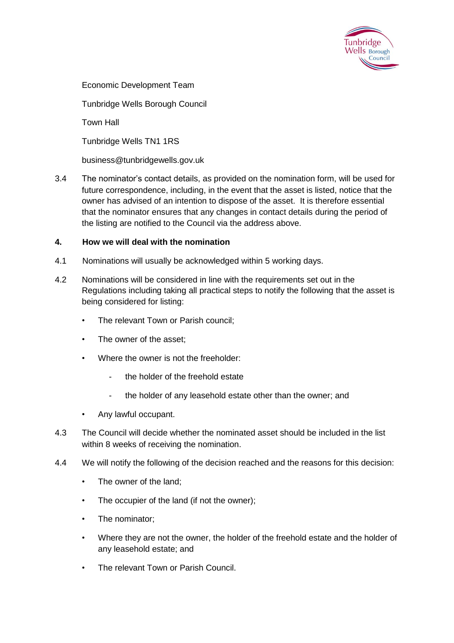

Economic Development Team

Tunbridge Wells Borough Council

Town Hall

Tunbridge Wells TN1 1RS

business@tunbridgewells.gov.uk

3.4 The nominator's contact details, as provided on the nomination form, will be used for future correspondence, including, in the event that the asset is listed, notice that the owner has advised of an intention to dispose of the asset. It is therefore essential that the nominator ensures that any changes in contact details during the period of the listing are notified to the Council via the address above.

### **4. How we will deal with the nomination**

- 4.1 Nominations will usually be acknowledged within 5 working days.
- 4.2 Nominations will be considered in line with the requirements set out in the Regulations including taking all practical steps to notify the following that the asset is being considered for listing:
	- The relevant Town or Parish council;
	- The owner of the asset:
	- Where the owner is not the freeholder:
		- the holder of the freehold estate
		- the holder of any leasehold estate other than the owner; and
	- Any lawful occupant.
- 4.3 The Council will decide whether the nominated asset should be included in the list within 8 weeks of receiving the nomination.
- 4.4 We will notify the following of the decision reached and the reasons for this decision:
	- The owner of the land;
	- The occupier of the land (if not the owner);
	- The nominator;
	- Where they are not the owner, the holder of the freehold estate and the holder of any leasehold estate; and
	- The relevant Town or Parish Council.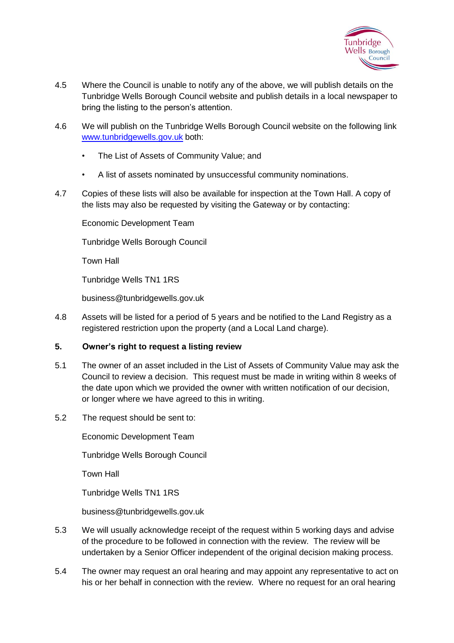

- 4.5 Where the Council is unable to notify any of the above, we will publish details on the Tunbridge Wells Borough Council website and publish details in a local newspaper to bring the listing to the person's attention.
- 4.6 We will publish on the Tunbridge Wells Borough Council website on the following link [www.tunbridgewells.gov.uk](http://www.tunbridgewells.gov.uk/) both:
	- The List of Assets of Community Value; and
	- A list of assets nominated by unsuccessful community nominations.
- 4.7 Copies of these lists will also be available for inspection at the Town Hall. A copy of the lists may also be requested by visiting the Gateway or by contacting:

Economic Development Team

Tunbridge Wells Borough Council

Town Hall

Tunbridge Wells TN1 1RS

business@tunbridgewells.gov.uk

4.8 Assets will be listed for a period of 5 years and be notified to the Land Registry as a registered restriction upon the property (and a Local Land charge).

# **5. Owner's right to request a listing review**

- 5.1 The owner of an asset included in the List of Assets of Community Value may ask the Council to review a decision. This request must be made in writing within 8 weeks of the date upon which we provided the owner with written notification of our decision, or longer where we have agreed to this in writing.
- 5.2 The request should be sent to:

Economic Development Team

Tunbridge Wells Borough Council

Town Hall

Tunbridge Wells TN1 1RS

- 5.3 We will usually acknowledge receipt of the request within 5 working days and advise of the procedure to be followed in connection with the review. The review will be undertaken by a Senior Officer independent of the original decision making process.
- 5.4 The owner may request an oral hearing and may appoint any representative to act on his or her behalf in connection with the review. Where no request for an oral hearing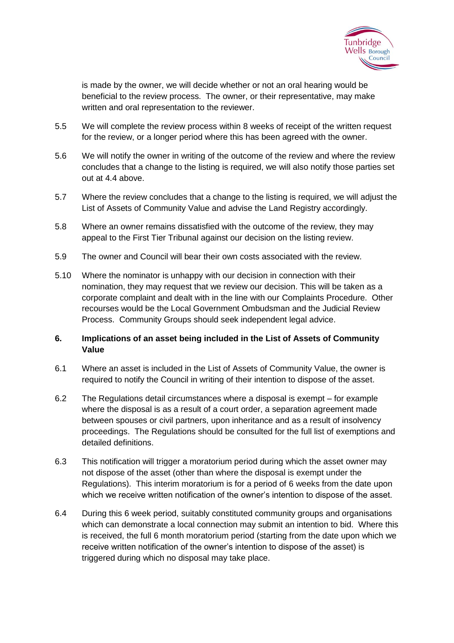

is made by the owner, we will decide whether or not an oral hearing would be beneficial to the review process. The owner, or their representative, may make written and oral representation to the reviewer.

- 5.5 We will complete the review process within 8 weeks of receipt of the written request for the review, or a longer period where this has been agreed with the owner.
- 5.6 We will notify the owner in writing of the outcome of the review and where the review concludes that a change to the listing is required, we will also notify those parties set out at 4.4 above.
- 5.7 Where the review concludes that a change to the listing is required, we will adjust the List of Assets of Community Value and advise the Land Registry accordingly.
- 5.8 Where an owner remains dissatisfied with the outcome of the review, they may appeal to the First Tier Tribunal against our decision on the listing review.
- 5.9 The owner and Council will bear their own costs associated with the review.
- 5.10 Where the nominator is unhappy with our decision in connection with their nomination, they may request that we review our decision. This will be taken as a corporate complaint and dealt with in the line with our Complaints Procedure. Other recourses would be the Local Government Ombudsman and the Judicial Review Process. Community Groups should seek independent legal advice.

# **6. Implications of an asset being included in the List of Assets of Community Value**

- 6.1 Where an asset is included in the List of Assets of Community Value, the owner is required to notify the Council in writing of their intention to dispose of the asset.
- 6.2 The Regulations detail circumstances where a disposal is exempt for example where the disposal is as a result of a court order, a separation agreement made between spouses or civil partners, upon inheritance and as a result of insolvency proceedings. The Regulations should be consulted for the full list of exemptions and detailed definitions.
- 6.3 This notification will trigger a moratorium period during which the asset owner may not dispose of the asset (other than where the disposal is exempt under the Regulations). This interim moratorium is for a period of 6 weeks from the date upon which we receive written notification of the owner's intention to dispose of the asset.
- 6.4 During this 6 week period, suitably constituted community groups and organisations which can demonstrate a local connection may submit an intention to bid. Where this is received, the full 6 month moratorium period (starting from the date upon which we receive written notification of the owner's intention to dispose of the asset) is triggered during which no disposal may take place.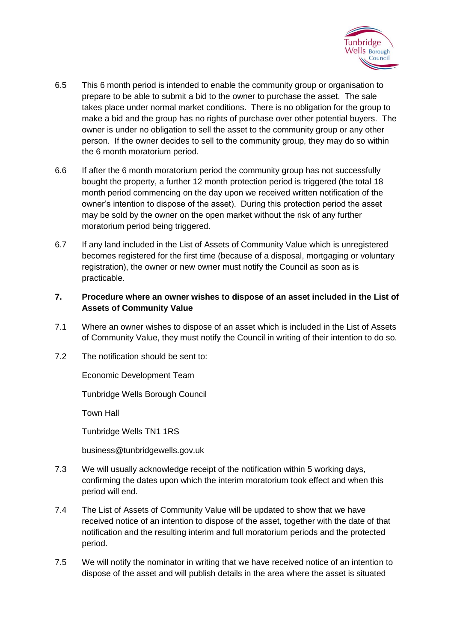

- 6.5 This 6 month period is intended to enable the community group or organisation to prepare to be able to submit a bid to the owner to purchase the asset. The sale takes place under normal market conditions. There is no obligation for the group to make a bid and the group has no rights of purchase over other potential buyers. The owner is under no obligation to sell the asset to the community group or any other person. If the owner decides to sell to the community group, they may do so within the 6 month moratorium period.
- 6.6 If after the 6 month moratorium period the community group has not successfully bought the property, a further 12 month protection period is triggered (the total 18 month period commencing on the day upon we received written notification of the owner's intention to dispose of the asset). During this protection period the asset may be sold by the owner on the open market without the risk of any further moratorium period being triggered.
- 6.7 If any land included in the List of Assets of Community Value which is unregistered becomes registered for the first time (because of a disposal, mortgaging or voluntary registration), the owner or new owner must notify the Council as soon as is practicable.

# **7. Procedure where an owner wishes to dispose of an asset included in the List of Assets of Community Value**

- 7.1 Where an owner wishes to dispose of an asset which is included in the List of Assets of Community Value, they must notify the Council in writing of their intention to do so.
- 7.2 The notification should be sent to:

Economic Development Team

Tunbridge Wells Borough Council

Town Hall

Tunbridge Wells TN1 1RS

- 7.3 We will usually acknowledge receipt of the notification within 5 working days, confirming the dates upon which the interim moratorium took effect and when this period will end.
- 7.4 The List of Assets of Community Value will be updated to show that we have received notice of an intention to dispose of the asset, together with the date of that notification and the resulting interim and full moratorium periods and the protected period.
- 7.5 We will notify the nominator in writing that we have received notice of an intention to dispose of the asset and will publish details in the area where the asset is situated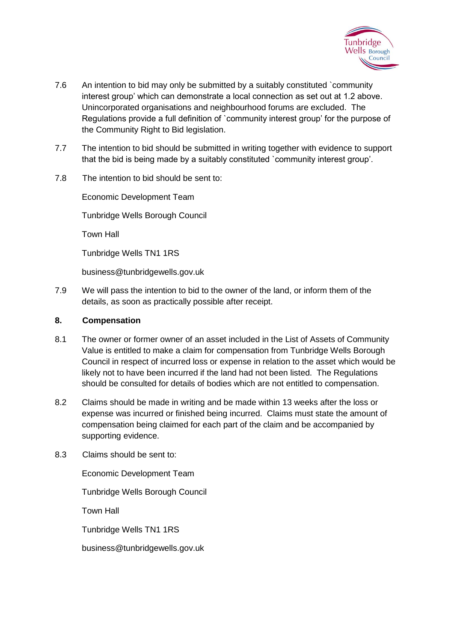

- 7.6 An intention to bid may only be submitted by a suitably constituted `community interest group' which can demonstrate a local connection as set out at 1.2 above. Unincorporated organisations and neighbourhood forums are excluded. The Regulations provide a full definition of `community interest group' for the purpose of the Community Right to Bid legislation.
- 7.7 The intention to bid should be submitted in writing together with evidence to support that the bid is being made by a suitably constituted `community interest group'.
- 7.8 The intention to bid should be sent to:

Economic Development Team

Tunbridge Wells Borough Council

Town Hall

Tunbridge Wells TN1 1RS

business@tunbridgewells.gov.uk

7.9 We will pass the intention to bid to the owner of the land, or inform them of the details, as soon as practically possible after receipt.

#### **8. Compensation**

- 8.1 The owner or former owner of an asset included in the List of Assets of Community Value is entitled to make a claim for compensation from Tunbridge Wells Borough Council in respect of incurred loss or expense in relation to the asset which would be likely not to have been incurred if the land had not been listed. The Regulations should be consulted for details of bodies which are not entitled to compensation.
- 8.2 Claims should be made in writing and be made within 13 weeks after the loss or expense was incurred or finished being incurred. Claims must state the amount of compensation being claimed for each part of the claim and be accompanied by supporting evidence.
- 8.3 Claims should be sent to:

Economic Development Team

Tunbridge Wells Borough Council

Town Hall

Tunbridge Wells TN1 1RS